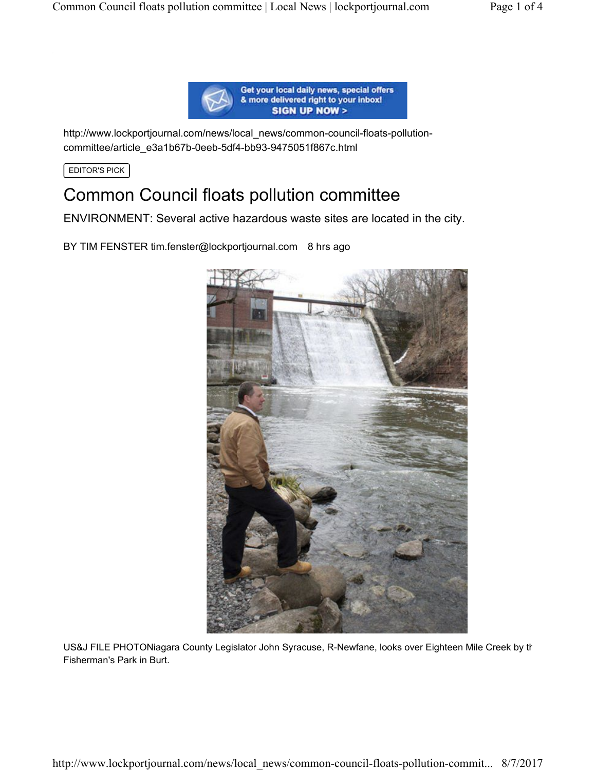

http://www.lockportjournal.com/news/local\_news/common-council-floats-pollutioncommittee/article\_e3a1b67b-0eeb-5df4-bb93-9475051f867c.html

EDITOR'S PICK

# Common Council floats pollution committee

ENVIRONMENT: Several active hazardous waste sites are located in the city.

BY TIM FENSTER tim.fenster@lockportjournal.com 8 hrs ago



US&J FILE PHOTONiagara County Legislator John Syracuse, R-Newfane, looks over Eighteen Mile Creek by th Fisherman's Park in Burt.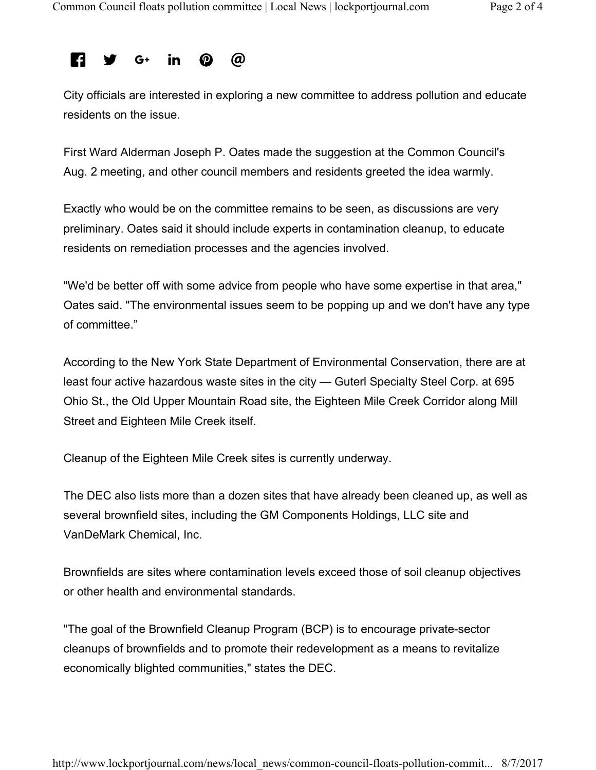### @ **R** in l G+

City officials are interested in exploring a new committee to address pollution and educate residents on the issue.

First Ward Alderman Joseph P. Oates made the suggestion at the Common Council's Aug. 2 meeting, and other council members and residents greeted the idea warmly.

Exactly who would be on the committee remains to be seen, as discussions are very preliminary. Oates said it should include experts in contamination cleanup, to educate residents on remediation processes and the agencies involved.

"We'd be better off with some advice from people who have some expertise in that area," Oates said. "The environmental issues seem to be popping up and we don't have any type of committee."

According to the New York State Department of Environmental Conservation, there are at least four active hazardous waste sites in the city — Guterl Specialty Steel Corp. at 695 Ohio St., the Old Upper Mountain Road site, the Eighteen Mile Creek Corridor along Mill Street and Eighteen Mile Creek itself.

Cleanup of the Eighteen Mile Creek sites is currently underway.

The DEC also lists more than a dozen sites that have already been cleaned up, as well as several brownfield sites, including the GM Components Holdings, LLC site and VanDeMark Chemical, Inc.

Brownfields are sites where contamination levels exceed those of soil cleanup objectives or other health and environmental standards.

"The goal of the Brownfield Cleanup Program (BCP) is to encourage private-sector cleanups of brownfields and to promote their redevelopment as a means to revitalize economically blighted communities," states the DEC.